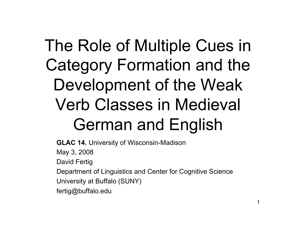# The Role of Multiple Cues in Category Formation and the Development of the Weak Verb Classes in Medieval German and English

**GLAC 14**, University of Wisconsin-Madison

May 3, 2008

David Fertig

Department of Linguistics and Center for Cognitive Science

University at Buffalo (SUNY)

fertig@buffalo.edu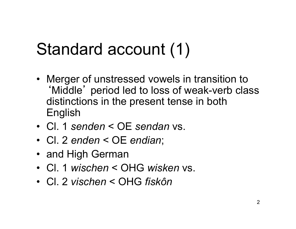# Standard account (1)

- Merger of unstressed vowels in transition to ʻMiddle' period led to loss of weak-verb class distinctions in the present tense in both English
- Cl. 1 *senden* < OE *sendan* vs.
- Cl. 2 *enden* < OE *endian*;
- and High German
- Cl. 1 *wischen* < OHG *wisken* vs.
- Cl. 2 *vischen* < OHG *fiskôn*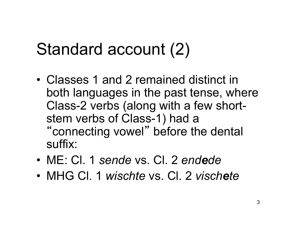# Standard account (2)

- Classes 1 and 2 remained distinct in both languages in the past tense, where Class-2 verbs (along with a few shortstem verbs of Class-1) had a "connecting vowel" before the dental suffix:
- ME: Cl. 1 *sende* vs. Cl. 2 *endede*
- MHG CI. 1 *wischte* vs. CI. 2 *vischete*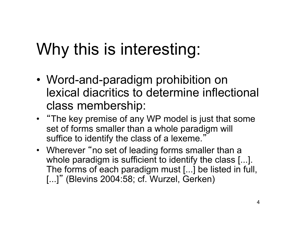# Why this is interesting:

- Word-and-paradigm prohibition on lexical diacritics to determine inflectional class membership:
- "The key premise of any WP model is just that some set of forms smaller than a whole paradigm will suffice to identify the class of a lexeme."
- Wherever "no set of leading forms smaller than a whole paradigm is sufficient to identify the class [...]. The forms of each paradigm must [...] be listed in full, [...]" (Blevins 2004:58; cf. Wurzel, Gerken)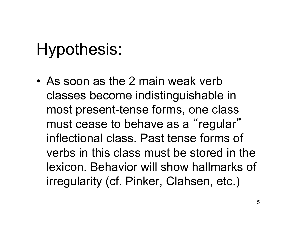## Hypothesis:

• As soon as the 2 main weak verb classes become indistinguishable in most present-tense forms, one class must cease to behave as a "regular" inflectional class. Past tense forms of verbs in this class must be stored in the lexicon. Behavior will show hallmarks of irregularity (cf. Pinker, Clahsen, etc.)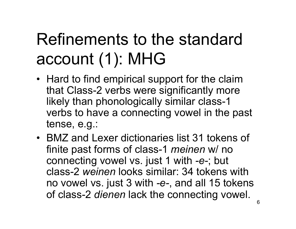# Refinements to the standard account (1): MHG

- Hard to find empirical support for the claim that Class-2 verbs were significantly more likely than phonologically similar class-1 verbs to have a connecting vowel in the past tense, e.g.:
- BMZ and Lexer dictionaries list 31 tokens of finite past forms of class-1 *meinen* w/ no connecting vowel vs. just 1 with *-e-*; but class-2 *weinen* looks similar: 34 tokens with no vowel vs. just 3 with *-e-*, and all 15 tokens of class-2 *dienen* lack the connecting vowel.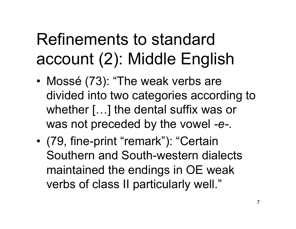# Refinements to standard account (2): Middle English

- Mossé (73): "The weak verbs are divided into two categories according to whether […] the dental suffix was or was not preceded by the vowel *-e-*.
- (79, fine-print "remark"): "Certain Southern and South-western dialects maintained the endings in OE weak verbs of class II particularly well."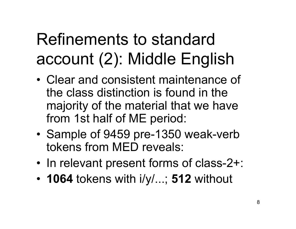# Refinements to standard account (2): Middle English

- Clear and consistent maintenance of the class distinction is found in the majority of the material that we have from 1st half of ME period:
- Sample of 9459 pre-1350 weak-verb tokens from MED reveals:
- In relevant present forms of class-2+:
- **1064** tokens with i/y/...; **512** without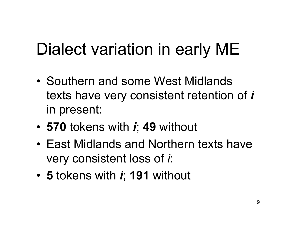# Dialect variation in early ME

- Southern and some West Midlands texts have very consistent retention of *i* in present:
- **570** tokens with *i*; **49** without
- East Midlands and Northern texts have very consistent loss of *i*:
- **5** tokens with *i*; **191** without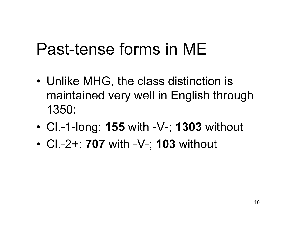### Past-tense forms in ME

- Unlike MHG, the class distinction is maintained very well in English through 1350:
- Cl.-1-long: **155** with -V-; **1303** without
- Cl.-2+: **707** with -V-; **103** without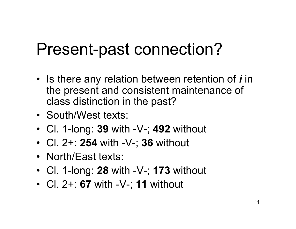### Present-past connection?

- Is there any relation between retention of *i* in the present and consistent maintenance of class distinction in the past?
- South/West texts:
- Cl. 1-long: **39** with -V-; **492** without
- Cl. 2+: **254** with -V-; **36** without
- North/East texts:
- Cl. 1-long: **28** with -V-; **173** without
- Cl. 2+: **67** with -V-; **11** without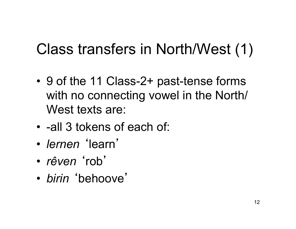#### Class transfers in North/West (1)

- 9 of the 11 Class-2+ past-tense forms with no connecting vowel in the North/ West texts are:
- -all 3 tokens of each of:
- *lernen* ʻlearn'
- *rêven* ʻrob'
- *birin* ʻbehoove'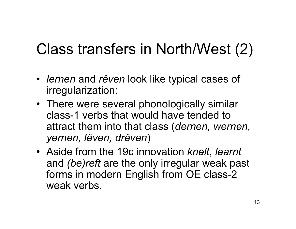#### Class transfers in North/West (2)

- *lernen* and *rêven* look like typical cases of irregularization:
- There were several phonologically similar class-1 verbs that would have tended to attract them into that class (*dernen, wernen, yernen, lêven, drêven*)
- Aside from the 19c innovation *knelt*, *learnt* and *(be)reft* are the only irregular weak past forms in modern English from OE class-2 weak verbs.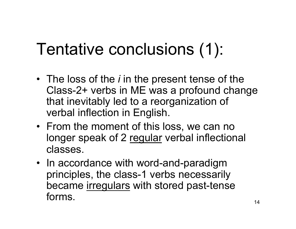# Tentative conclusions (1):

- The loss of the *i* in the present tense of the Class-2+ verbs in ME was a profound change that inevitably led to a reorganization of verbal inflection in English.
- From the moment of this loss, we can no longer speak of 2 regular verbal inflectional classes.
- In accordance with word-and-paradigm principles, the class-1 verbs necessarily became irregulars with stored past-tense forms.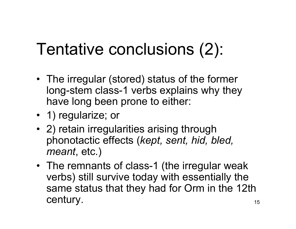# Tentative conclusions (2):

- The irregular (stored) status of the former long-stem class-1 verbs explains why they have long been prone to either:
- 1) regularize; or
- 2) retain irregularities arising through phonotactic effects (*kept, sent, hid, bled, meant*, etc.)
- The remnants of class-1 (the irregular weak verbs) still survive today with essentially the same status that they had for Orm in the 12th century.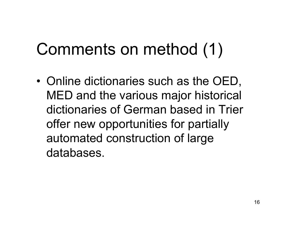# Comments on method (1)

• Online dictionaries such as the OED, MED and the various major historical dictionaries of German based in Trier offer new opportunities for partially automated construction of large databases.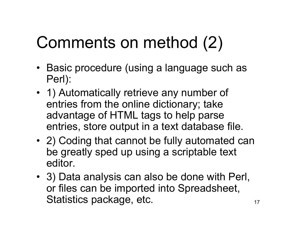# Comments on method (2)

- Basic procedure (using a language such as Perl):
- 1) Automatically retrieve any number of entries from the online dictionary; take advantage of HTML tags to help parse entries, store output in a text database file.
- 2) Coding that cannot be fully automated can be greatly sped up using a scriptable text editor.
- 3) Data analysis can also be done with Perl, or files can be imported into Spreadsheet, Statistics package, etc.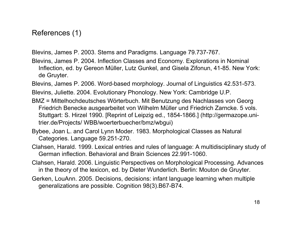References (1)

Blevins, James P. 2003. Stems and Paradigms. Language 79.737-767.

Blevins, James P. 2004. Inflection Classes and Economy. Explorations in Nominal Inflection, ed. by Gereon Müller, Lutz Gunkel, and Gisela Zifonun, 41-85. New York: de Gruyter.

Blevins, James P. 2006. Word-based morphology. Journal of Linguistics 42.531-573.

Blevins, Juliette. 2004. Evolutionary Phonology. New York: Cambridge U.P.

- BMZ = Mittelhochdeutsches Wörterbuch. Mit Benutzung des Nachlasses von Georg Friedrich Benecke ausgearbeitet von Wilhelm Müller und Friedrich Zarncke. 5 vols. Stuttgart: S. Hirzel 1990. [Reprint of Leipzig ed., 1854-1866.] (http://germazope.unitrier.de/Projects/ WBB/woerterbuecher/bmz/wbgui)
- Bybee, Joan L. and Carol Lynn Moder. 1983. Morphological Classes as Natural Categories. Language 59.251-270.
- Clahsen, Harald. 1999. Lexical entries and rules of language: A multidisciplinary study of German inflection. Behavioral and Brain Sciences 22.991-1060.
- Clahsen, Harald. 2006. Linguistic Perspectives on Morphological Processing. Advances in the theory of the lexicon, ed. by Dieter Wunderlich. Berlin: Mouton de Gruyter.
- Gerken, LouAnn. 2005. Decisions, decisions: infant language learning when multiple generalizations are possible. Cognition 98(3).B67-B74.